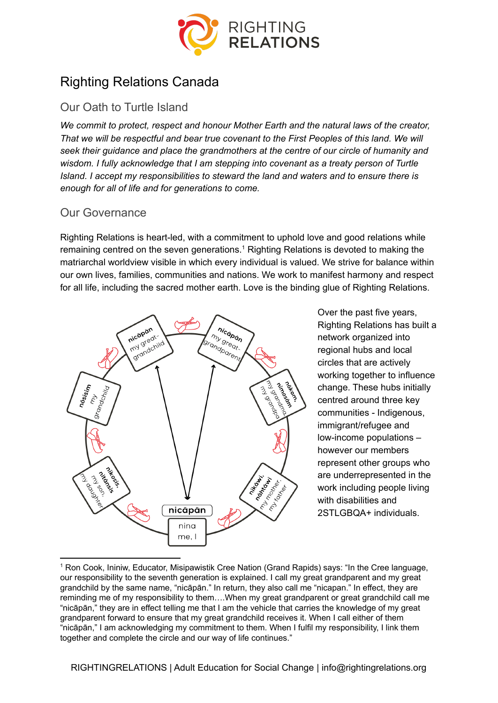

# Righting Relations Canada

# Our Oath to Turtle Island

*We commit to protect, respect and honour Mother Earth and the natural laws of the creator, That we will be respectful and bear true covenant to the First Peoples of this land. We will seek their guidance and place the grandmothers at the centre of our circle of humanity and wisdom. I fully acknowledge that I am stepping into covenant as a treaty person of Turtle Island. I accept my responsibilities to steward the land and waters and to ensure there is enough for all of life and for generations to come.*

#### Our Governance

Righting Relations is heart-led, with a commitment to uphold love and good relations while remaining centred on the seven generations.<sup>1</sup> Righting Relations is devoted to making the matriarchal worldview visible in which every individual is valued. We strive for balance within our own lives, families, communities and nations. We work to manifest harmony and respect for all life, including the sacred mother earth. Love is the binding glue of Righting Relations.



Over the past five years, Righting Relations has built a network organized into regional hubs and local circles that are actively working together to influence change. These hubs initially centred around three key communities - Indigenous, immigrant/refugee and low-income populations – however our members represent other groups who are underrepresented in the work including people living with disabilities and 2STLGBQA+ individuals.

<sup>1</sup> Ron Cook, Ininiw, Educator, Misipawistik Cree Nation (Grand Rapids) says: "In the Cree language, our responsibility to the seventh generation is explained. I call my great grandparent and my great grandchild by the same name, "nicāpān." In return, they also call me "nicapan." In effect, they are reminding me of my responsibility to them….When my great grandparent or great grandchild call me "nicāpān," they are in effect telling me that I am the vehicle that carries the knowledge of my great grandparent forward to ensure that my great grandchild receives it. When I call either of them "nicāpān," I am acknowledging my commitment to them. When I fulfil my responsibility, I link them together and complete the circle and our way of life continues."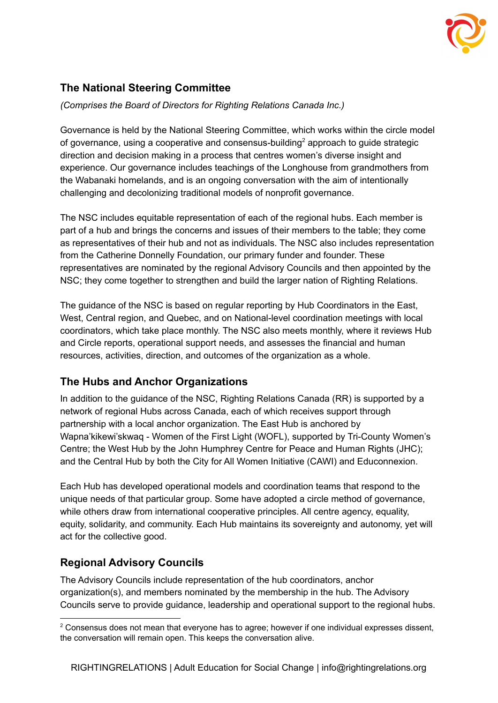

# **The National Steering Committee**

*(Comprises the Board of Directors for Righting Relations Canada Inc.)*

Governance is held by the National Steering Committee, which works within the circle model of governance, using a cooperative and consensus-building<sup>2</sup> approach to guide strategic direction and decision making in a process that centres women's diverse insight and experience. Our governance includes teachings of the Longhouse from grandmothers from the Wabanaki homelands, and is an ongoing conversation with the aim of intentionally challenging and decolonizing traditional models of nonprofit governance.

The NSC includes equitable representation of each of the regional hubs. Each member is part of a hub and brings the concerns and issues of their members to the table; they come as representatives of their hub and not as individuals. The NSC also includes representation from the Catherine Donnelly Foundation, our primary funder and founder. These representatives are nominated by the regional Advisory Councils and then appointed by the NSC; they come together to strengthen and build the larger nation of Righting Relations.

The guidance of the NSC is based on regular reporting by Hub Coordinators in the East, West, Central region, and Quebec, and on National-level coordination meetings with local coordinators, which take place monthly. The NSC also meets monthly, where it reviews Hub and Circle reports, operational support needs, and assesses the financial and human resources, activities, direction, and outcomes of the organization as a whole.

#### **The Hubs and Anchor Organizations**

In addition to the guidance of the NSC, Righting Relations Canada (RR) is supported by a network of regional Hubs across Canada, each of which receives support through partnership with a local anchor organization. The East Hub is anchored by Wapna'kikewi'skwaq - Women of the First Light (WOFL), supported by Tri-County Women's Centre; the West Hub by the John Humphrey Centre for Peace and Human Rights (JHC); and the Central Hub by both the City for All Women Initiative (CAWI) and Educonnexion.

Each Hub has developed operational models and coordination teams that respond to the unique needs of that particular group. Some have adopted a circle method of governance, while others draw from international cooperative principles. All centre agency, equality, equity, solidarity, and community. Each Hub maintains its sovereignty and autonomy, yet will act for the collective good.

#### **Regional Advisory Councils**

The Advisory Councils include representation of the hub coordinators, anchor organization(s), and members nominated by the membership in the hub. The Advisory Councils serve to provide guidance, leadership and operational support to the regional hubs.

<sup>&</sup>lt;sup>2</sup> Consensus does not mean that everyone has to agree; however if one individual expresses dissent, the conversation will remain open. This keeps the conversation alive.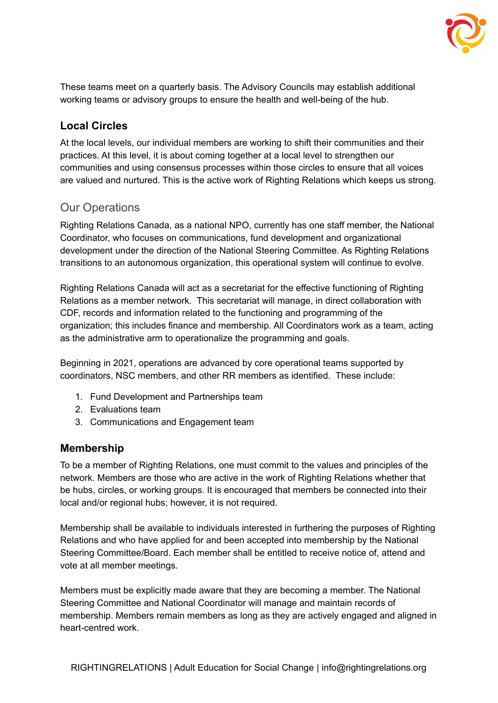

These teams meet on a quarterly basis. The Advisory Councils may establish additional working teams or advisory groups to ensure the health and well-being of the hub.

## **Local Circles**

At the local levels, our individual members are working to shift their communities and their practices. At this level, it is about coming together at a local level to strengthen our communities and using consensus processes within those circles to ensure that all voices are valued and nurtured. This is the active work of Righting Relations which keeps us strong.

### Our Operations

Righting Relations Canada, as a national NPO, currently has one staff member, the National Coordinator, who focuses on communications, fund development and organizational development under the direction of the National Steering Committee. As Righting Relations transitions to an autonomous organization, this operational system will continue to evolve.

Righting Relations Canada will act as a secretariat for the effective functioning of Righting Relations as a member network. This secretariat will manage, in direct collaboration with CDF, records and information related to the functioning and programming of the organization; this includes finance and membership. All Coordinators work as a team, acting as the administrative arm to operationalize the programming and goals.

Beginning in 2021, operations are advanced by core operational teams supported by coordinators, NSC members, and other RR members as identified. These include:

- 1. Fund Development and Partnerships team
- 2. Evaluations team
- 3. Communications and Engagement team

#### **Membership**

To be a member of Righting Relations, one must commit to the values and principles of the network. Members are those who are active in the work of Righting Relations whether that be hubs, circles, or working groups. It is encouraged that members be connected into their local and/or regional hubs; however, it is not required.

Membership shall be available to individuals interested in furthering the purposes of Righting Relations and who have applied for and been accepted into membership by the National Steering Committee/Board. Each member shall be entitled to receive notice of, attend and vote at all member meetings.

Members must be explicitly made aware that they are becoming a member. The National Steering Committee and National Coordinator will manage and maintain records of membership. Members remain members as long as they are actively engaged and aligned in heart-centred work.